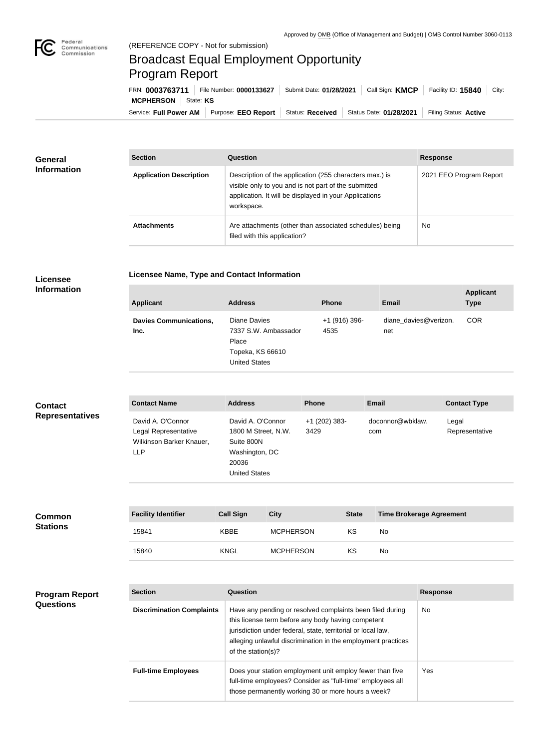

## Broadcast Equal Employment Opportunity Program Report

Service: Full Power AM | Purpose: EEO Report | Status: Received | Status Date: 01/28/2021 | Filing Status: Active **MCPHERSON** State: KS FRN: **0003763711** File Number: **0000133627** Submit Date: **01/28/2021** Call Sign: **KMCP** Facility ID: **15840** City:

| <b>General</b><br><b>Information</b> | <b>Section</b>                 | Question                                                                                                                                                                                | <b>Response</b>         |
|--------------------------------------|--------------------------------|-----------------------------------------------------------------------------------------------------------------------------------------------------------------------------------------|-------------------------|
|                                      | <b>Application Description</b> | Description of the application (255 characters max.) is<br>visible only to you and is not part of the submitted<br>application. It will be displayed in your Applications<br>workspace. | 2021 EEO Program Report |
|                                      | <b>Attachments</b>             | Are attachments (other than associated schedules) being<br>filed with this application?                                                                                                 | <b>No</b>               |

## **Licensee Information**

| <b>Licensee Name, Type and Contact Information</b> |  |
|----------------------------------------------------|--|
|                                                    |  |

| <b>Applicant</b>                      | <b>Address</b>                                                                            | <b>Phone</b>          | <b>Email</b>                 | <b>Applicant</b><br><b>Type</b> |
|---------------------------------------|-------------------------------------------------------------------------------------------|-----------------------|------------------------------|---------------------------------|
| <b>Davies Communications,</b><br>Inc. | Diane Davies<br>7337 S.W. Ambassador<br>Place<br>Topeka, KS 66610<br><b>United States</b> | +1 (916) 396-<br>4535 | diane davies@verizon.<br>net | <b>COR</b>                      |

| <b>Contact</b>         | <b>Contact Name</b>                                                                 | <b>Address</b>                                                                                            | <b>Phone</b>            | <b>Email</b>            | <b>Contact Type</b>     |
|------------------------|-------------------------------------------------------------------------------------|-----------------------------------------------------------------------------------------------------------|-------------------------|-------------------------|-------------------------|
| <b>Representatives</b> | David A. O'Connor<br>Legal Representative<br>Wilkinson Barker Knauer,<br><b>LLP</b> | David A. O'Connor<br>1800 M Street, N.W.<br>Suite 800N<br>Washington, DC<br>20036<br><b>United States</b> | $+1$ (202) 383-<br>3429 | doconnor@wbklaw.<br>com | Legal<br>Representative |

| <b>Common</b><br><b>Stations</b> | <b>Facility Identifier</b> | <b>Call Sign</b> | <b>City</b>      | <b>State</b> | <b>Time Brokerage Agreement</b> |
|----------------------------------|----------------------------|------------------|------------------|--------------|---------------------------------|
|                                  | 15841                      | <b>KBBE</b>      | <b>MCPHERSON</b> | KS           | No                              |
|                                  | 15840                      | <b>KNGL</b>      | <b>MCPHERSON</b> | KS           | No                              |

| <b>Program Report</b> | <b>Section</b>                   | <b>Question</b>                                                                                                                                                                                                                                                       | <b>Response</b> |
|-----------------------|----------------------------------|-----------------------------------------------------------------------------------------------------------------------------------------------------------------------------------------------------------------------------------------------------------------------|-----------------|
| <b>Questions</b>      | <b>Discrimination Complaints</b> | Have any pending or resolved complaints been filed during<br>this license term before any body having competent<br>jurisdiction under federal, state, territorial or local law,<br>alleging unlawful discrimination in the employment practices<br>of the station(s)? | No.             |
|                       | <b>Full-time Employees</b>       | Does your station employment unit employ fewer than five<br>full-time employees? Consider as "full-time" employees all<br>those permanently working 30 or more hours a week?                                                                                          | Yes             |